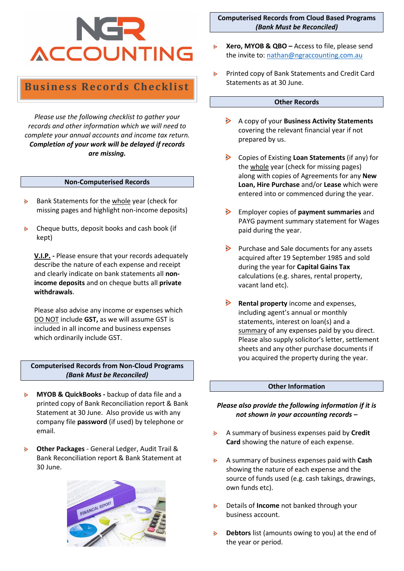# **ACCOUNTING**

# **Business Records Checklist**

*Please use the following checklist to gather your records and other information which we will need to complete your annual accounts and income tax return. Completion of your work will be delayed if records are missing.*

### **Non-Computerised Records**

- Bank Statements for the whole year (check for  $\geq$ missing pages and highlight non-income deposits)
- Cheque butts, deposit books and cash book (if  $\mathbf{B}$ kept)

**V.I.P. -** Please ensure that your records adequately describe the nature of each expense and receipt and clearly indicate on bank statements all **nonincome deposits** and on cheque butts all **private withdrawals**.

Please also advise any income or expenses which DO NOT include **GST,** as we will assume GST is included in all income and business expenses which ordinarily include GST.

**Computerised Records from Non-Cloud Programs** *(Bank Must be Reconciled)*

- **MYOB & QuickBooks -** backup of data file and a  $\geq$ printed copy of Bank Reconciliation report & Bank Statement at 30 June. Also provide us with any company file **password** (if used) by telephone or email.
- **Other Packages** General Ledger, Audit Trail & Bank Reconciliation report & Bank Statement at 30 June.



**Computerised Records from Cloud Based Programs** *(Bank Must be Reconciled)*

- **Xero, MYOB & QBO –** Access to file, please send  $\triangleright$ the invite to: [nathan@ngraccounting.com.au](mailto:nathan@ngraccounting.com.au)
- Printed copy of Bank Statements and Credit Card  $\triangleright$ Statements as at 30 June.

### **Other Records**

- $\triangleright$ A copy of your **Business Activity Statements** covering the relevant financial year if not prepared by us.
- Copies of Existing **Loan Statements** (if any) for the whole year (check for missing pages) along with copies of Agreements for any **New Loan, Hire Purchase** and/or **Lease** which were entered into or commenced during the year.
- Employer copies of **payment summaries** and PAYG payment summary statement for Wages paid during the year.
- $\triangleright$  Purchase and Sale documents for any assets acquired after 19 September 1985 and sold during the year for **Capital Gains Tax** calculations (e.g. shares, rental property, vacant land etc).
- **Rental property** income and expenses, including agent's annual or monthly statements, interest on loan(s) and a summary of any expenses paid by you direct. Please also supply solicitor's letter, settlement sheets and any other purchase documents if you acquired the property during the year.

### **Other Information**

## *Please also provide the following information if it is not shown in your accounting records –*

- A summary of business expenses paid by **Credit**   $\triangleright$ **Card** showing the nature of each expense.
- $\triangleright$ A summary of business expenses paid with **Cash**  showing the nature of each expense and the source of funds used (e.g. cash takings, drawings, own funds etc).
- Details of **Income** not banked through your  $\triangleright$ business account.
- **Debtors** list (amounts owing to you) at the end of  $\mathbf{B}$ the year or period.